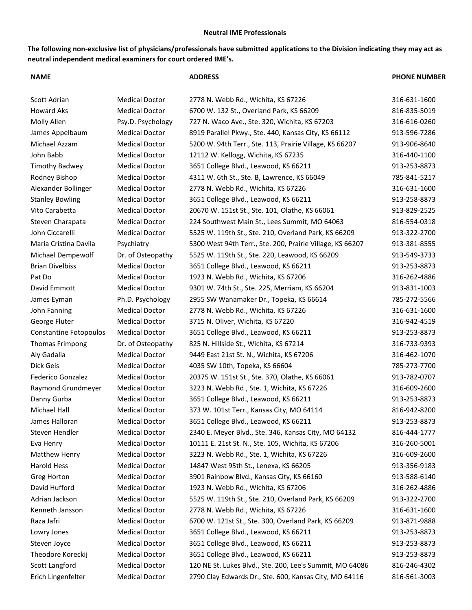## **Neutral IME Professionals**

**The following non-exclusive list of physicians/professionals have submitted applications to the Division indicating they may act as neutral independent medical examiners for court ordered IME's.**

| <b>NAME</b>                       |                               |                                                | <b>ADDRESS</b>                                            | <b>PHONE NUMBER</b> |
|-----------------------------------|-------------------------------|------------------------------------------------|-----------------------------------------------------------|---------------------|
|                                   |                               |                                                |                                                           |                     |
| Scott Adrian<br><b>Howard Aks</b> |                               | <b>Medical Doctor</b><br><b>Medical Doctor</b> | 2778 N. Webb Rd., Wichita, KS 67226                       | 316-631-1600        |
|                                   |                               |                                                | 6700 W. 132 St., Overland Park, KS 66209                  | 816-835-5019        |
| Molly Allen                       |                               | Psy.D. Psychology                              | 727 N. Waco Ave., Ste. 320, Wichita, KS 67203             | 316-616-0260        |
|                                   | James Appelbaum               | <b>Medical Doctor</b>                          | 8919 Parallel Pkwy., Ste. 440, Kansas City, KS 66112      | 913-596-7286        |
| Michael Azzam                     |                               | <b>Medical Doctor</b>                          | 5200 W. 94th Terr., Ste. 113, Prairie Village, KS 66207   | 913-906-8640        |
| John Babb                         |                               | <b>Medical Doctor</b>                          | 12112 W. Kellogg, Wichita, KS 67235                       | 316-440-1100        |
|                                   | <b>Timothy Badwey</b>         | <b>Medical Doctor</b>                          | 3651 College Blvd., Leawood, KS 66211                     | 913-253-8873        |
| Rodney Bishop                     |                               | <b>Medical Doctor</b>                          | 4311 W. 6th St., Ste. B, Lawrence, KS 66049               | 785-841-5217        |
|                                   | Alexander Bollinger           | <b>Medical Doctor</b>                          | 2778 N. Webb Rd., Wichita, KS 67226                       | 316-631-1600        |
| <b>Stanley Bowling</b>            |                               | <b>Medical Doctor</b>                          | 3651 College Blvd., Leawood, KS 66211                     | 913-258-8873        |
| Vito Carabetta                    |                               | <b>Medical Doctor</b>                          | 20670 W. 151st St., Ste. 101, Olathe, KS 66061            | 913-829-2525        |
|                                   | Steven Charapata              | <b>Medical Doctor</b>                          | 224 Southwest Main St., Lees Summit, MO 64063             | 816-554-0318        |
| John Ciccarelli                   |                               | <b>Medical Doctor</b>                          | 5525 W. 119th St., Ste. 210, Overland Park, KS 66209      | 913-322-2700        |
|                                   | Maria Cristina Davila         | Psychiatry                                     | 5300 West 94th Terr., Ste. 200, Prairie Village, KS 66207 | 913-381-8555        |
|                                   | Michael Dempewolf             | Dr. of Osteopathy                              | 5525 W. 119th St., Ste. 220, Leawood, KS 66209            | 913-549-3733        |
| <b>Brian Divelbiss</b>            |                               | <b>Medical Doctor</b>                          | 3651 College Blvd., Leawood, KS 66211                     | 913-253-8873        |
| Pat Do                            |                               | <b>Medical Doctor</b>                          | 1923 N. Webb Rd., Wichita, KS 67206                       | 316-262-4886        |
| David Emmott                      |                               | <b>Medical Doctor</b>                          | 9301 W. 74th St., Ste. 225, Merriam, KS 66204             | 913-831-1003        |
| James Eyman                       |                               | Ph.D. Psychology                               | 2955 SW Wanamaker Dr., Topeka, KS 66614                   | 785-272-5566        |
| John Fanning                      |                               | <b>Medical Doctor</b>                          | 2778 N. Webb Rd., Wichita, KS 67226                       | 316-631-1600        |
| George Fluter                     |                               | <b>Medical Doctor</b>                          | 3715 N. Oliver, Wichita, KS 67220                         | 316-942-4519        |
|                                   | <b>Constantine Fotopoulos</b> | <b>Medical Doctor</b>                          | 3651 College Blvd., Leawood, KS 66211                     | 913-253-8873        |
|                                   | <b>Thomas Frimpong</b>        | Dr. of Osteopathy                              | 825 N. Hillside St., Wichita, KS 67214                    | 316-733-9393        |
| Aly Gadalla                       |                               | <b>Medical Doctor</b>                          | 9449 East 21st St. N., Wichita, KS 67206                  | 316-462-1070        |
| Dick Geis                         |                               | <b>Medical Doctor</b>                          | 4035 SW 10th, Topeka, KS 66604                            | 785-273-7700        |
|                                   | Federico Gonzalez             | <b>Medical Doctor</b>                          | 20375 W. 151st St., Ste. 370, Olathe, KS 66061            | 913-782-0707        |
|                                   | Raymond Grundmeyer            | <b>Medical Doctor</b>                          | 3223 N. Webb Rd., Ste. 1, Wichita, KS 67226               | 316-609-2600        |
| Danny Gurba                       |                               | <b>Medical Doctor</b>                          | 3651 College Blvd., Leawood, KS 66211                     | 913-253-8873        |
| Michael Hall                      |                               | <b>Medical Doctor</b>                          | 373 W. 101st Terr., Kansas City, MO 64114                 | 816-942-8200        |
| James Halloran                    |                               | <b>Medical Doctor</b>                          | 3651 College Blvd., Leawood, KS 66211                     | 913-253-8873        |
| Steven Hendler                    |                               | <b>Medical Doctor</b>                          | 2340 E. Meyer Blvd., Ste. 346, Kansas City, MO 64132      | 816-444-1777        |
| Eva Henry                         |                               | <b>Medical Doctor</b>                          | 10111 E. 21st St. N., Ste. 105, Wichita, KS 67206         | 316-260-5001        |
| Matthew Henry                     |                               | <b>Medical Doctor</b>                          | 3223 N. Webb Rd., Ste. 1, Wichita, KS 67226               | 316-609-2600        |
| Harold Hess                       |                               | <b>Medical Doctor</b>                          | 14847 West 95th St., Lenexa, KS 66205                     | 913-356-9183        |
| <b>Greg Horton</b>                |                               | <b>Medical Doctor</b>                          | 3901 Rainbow Blvd., Kansas City, KS 66160                 | 913-588-6140        |
| David Hufford                     |                               | <b>Medical Doctor</b>                          | 1923 N. Webb Rd., Wichita, KS 67206                       | 316-262-4886        |
| Adrian Jackson                    |                               | <b>Medical Doctor</b>                          | 5525 W. 119th St., Ste. 210, Overland Park, KS 66209      | 913-322-2700        |
|                                   | Kenneth Jansson               | <b>Medical Doctor</b>                          | 2778 N. Webb Rd., Wichita, KS 67226                       | 316-631-1600        |
| Raza Jafri                        |                               | <b>Medical Doctor</b>                          | 6700 W. 121st St., Ste. 300, Overland Park, KS 66209      | 913-871-9888        |
| Lowry Jones                       |                               | <b>Medical Doctor</b>                          | 3651 College Blvd., Leawood, KS 66211                     | 913-253-8873        |
| Steven Joyce                      |                               | <b>Medical Doctor</b>                          | 3651 College Blvd., Leawood, KS 66211                     | 913-253-8873        |
|                                   | Theodore Koreckij             | <b>Medical Doctor</b>                          | 3651 College Blvd., Leawood, KS 66211                     | 913-253-8873        |
| Scott Langford                    |                               | <b>Medical Doctor</b>                          | 120 NE St. Lukes Blvd., Ste. 200, Lee's Summit, MO 64086  | 816-246-4302        |
|                                   | Erich Lingenfelter            | <b>Medical Doctor</b>                          | 2790 Clay Edwards Dr., Ste. 600, Kansas City, MO 64116    | 816-561-3003        |
|                                   |                               |                                                |                                                           |                     |